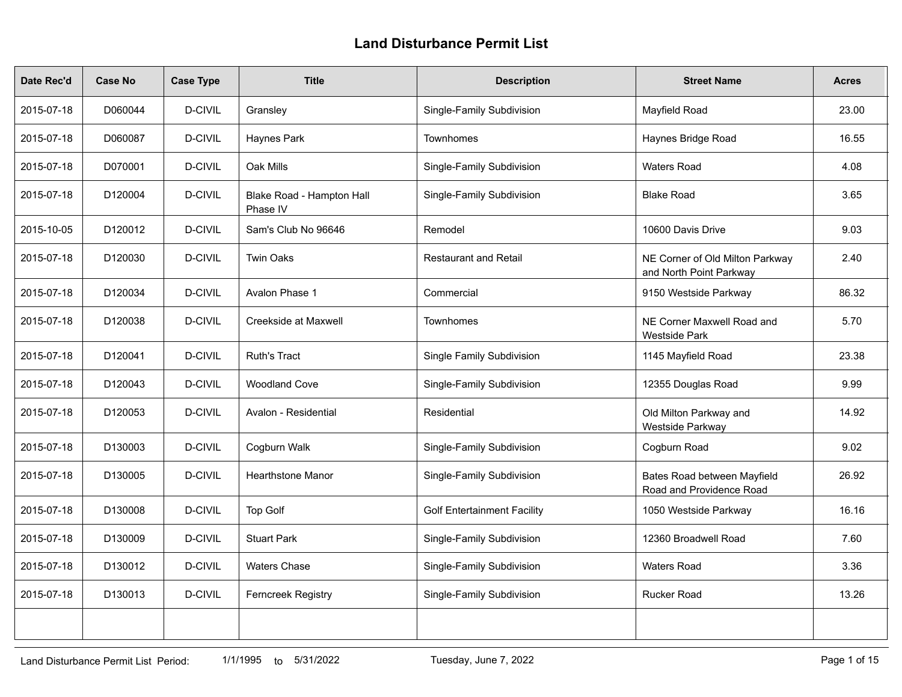## **Land Disturbance Permit List**

| Date Rec'd | <b>Case No</b> | <b>Case Type</b> | <b>Title</b>                          | <b>Description</b>                 | <b>Street Name</b>                                         | <b>Acres</b> |
|------------|----------------|------------------|---------------------------------------|------------------------------------|------------------------------------------------------------|--------------|
| 2015-07-18 | D060044        | D-CIVIL          | Gransley                              | Single-Family Subdivision          | Mayfield Road                                              | 23.00        |
| 2015-07-18 | D060087        | D-CIVIL          | Haynes Park                           | Townhomes                          | Haynes Bridge Road                                         | 16.55        |
| 2015-07-18 | D070001        | D-CIVIL          | Oak Mills                             | Single-Family Subdivision          | <b>Waters Road</b>                                         | 4.08         |
| 2015-07-18 | D120004        | D-CIVIL          | Blake Road - Hampton Hall<br>Phase IV | Single-Family Subdivision          | <b>Blake Road</b>                                          | 3.65         |
| 2015-10-05 | D120012        | D-CIVIL          | Sam's Club No 96646                   | Remodel                            | 10600 Davis Drive                                          | 9.03         |
| 2015-07-18 | D120030        | D-CIVIL          | <b>Twin Oaks</b>                      | <b>Restaurant and Retail</b>       | NE Corner of Old Milton Parkway<br>and North Point Parkway | 2.40         |
| 2015-07-18 | D120034        | D-CIVIL          | Avalon Phase 1                        | Commercial                         | 9150 Westside Parkway                                      | 86.32        |
| 2015-07-18 | D120038        | D-CIVIL          | Creekside at Maxwell                  | Townhomes                          | NE Corner Maxwell Road and<br><b>Westside Park</b>         | 5.70         |
| 2015-07-18 | D120041        | D-CIVIL          | <b>Ruth's Tract</b>                   | Single Family Subdivision          | 1145 Mayfield Road                                         | 23.38        |
| 2015-07-18 | D120043        | D-CIVIL          | <b>Woodland Cove</b>                  | Single-Family Subdivision          | 12355 Douglas Road                                         | 9.99         |
| 2015-07-18 | D120053        | D-CIVIL          | Avalon - Residential                  | Residential                        | Old Milton Parkway and<br>Westside Parkway                 | 14.92        |
| 2015-07-18 | D130003        | D-CIVIL          | Cogburn Walk                          | Single-Family Subdivision          | Cogburn Road                                               | 9.02         |
| 2015-07-18 | D130005        | D-CIVIL          | Hearthstone Manor                     | Single-Family Subdivision          | Bates Road between Mayfield<br>Road and Providence Road    | 26.92        |
| 2015-07-18 | D130008        | D-CIVIL          | Top Golf                              | <b>Golf Entertainment Facility</b> | 1050 Westside Parkway                                      | 16.16        |
| 2015-07-18 | D130009        | D-CIVIL          | <b>Stuart Park</b>                    | Single-Family Subdivision          | 12360 Broadwell Road                                       | 7.60         |
| 2015-07-18 | D130012        | D-CIVIL          | <b>Waters Chase</b>                   | Single-Family Subdivision          | <b>Waters Road</b>                                         | 3.36         |
| 2015-07-18 | D130013        | D-CIVIL          | <b>Ferncreek Registry</b>             | Single-Family Subdivision          | <b>Rucker Road</b>                                         | 13.26        |
|            |                |                  |                                       |                                    |                                                            |              |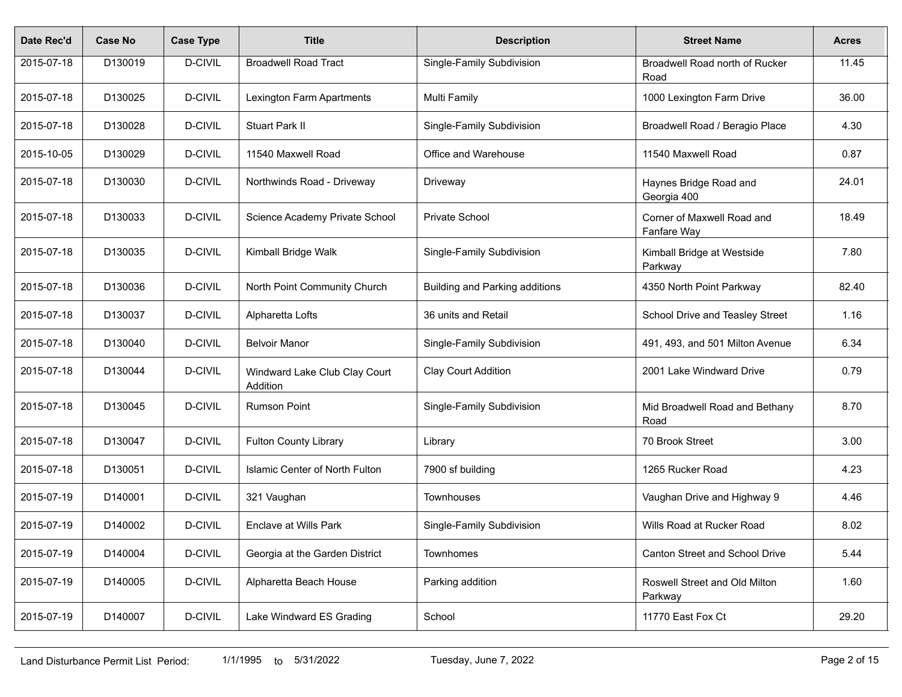| Date Rec'd | <b>Case No</b> | <b>Case Type</b> | <b>Title</b>                              | <b>Description</b>                    | <b>Street Name</b>                        | <b>Acres</b> |
|------------|----------------|------------------|-------------------------------------------|---------------------------------------|-------------------------------------------|--------------|
| 2015-07-18 | D130019        | D-CIVIL          | <b>Broadwell Road Tract</b>               | Single-Family Subdivision             | Broadwell Road north of Rucker<br>Road    | 11.45        |
| 2015-07-18 | D130025        | D-CIVIL          | Lexington Farm Apartments                 | <b>Multi Family</b>                   | 1000 Lexington Farm Drive                 | 36.00        |
| 2015-07-18 | D130028        | D-CIVIL          | <b>Stuart Park II</b>                     | Single-Family Subdivision             | Broadwell Road / Beragio Place            | 4.30         |
| 2015-10-05 | D130029        | D-CIVIL          | 11540 Maxwell Road                        | Office and Warehouse                  | 11540 Maxwell Road                        | 0.87         |
| 2015-07-18 | D130030        | D-CIVIL          | Northwinds Road - Driveway                | Driveway                              | Haynes Bridge Road and<br>Georgia 400     | 24.01        |
| 2015-07-18 | D130033        | D-CIVIL          | Science Academy Private School            | <b>Private School</b>                 | Corner of Maxwell Road and<br>Fanfare Way | 18.49        |
| 2015-07-18 | D130035        | D-CIVIL          | Kimball Bridge Walk                       | Single-Family Subdivision             | Kimball Bridge at Westside<br>Parkway     | 7.80         |
| 2015-07-18 | D130036        | D-CIVIL          | North Point Community Church              | <b>Building and Parking additions</b> | 4350 North Point Parkway                  | 82.40        |
| 2015-07-18 | D130037        | D-CIVIL          | Alpharetta Lofts                          | 36 units and Retail                   | School Drive and Teasley Street           | 1.16         |
| 2015-07-18 | D130040        | D-CIVIL          | <b>Belvoir Manor</b>                      | Single-Family Subdivision             | 491, 493, and 501 Milton Avenue           | 6.34         |
| 2015-07-18 | D130044        | D-CIVIL          | Windward Lake Club Clay Court<br>Addition | <b>Clay Court Addition</b>            | 2001 Lake Windward Drive                  | 0.79         |
| 2015-07-18 | D130045        | D-CIVIL          | <b>Rumson Point</b>                       | Single-Family Subdivision             | Mid Broadwell Road and Bethany<br>Road    | 8.70         |
| 2015-07-18 | D130047        | D-CIVIL          | <b>Fulton County Library</b>              | Library                               | 70 Brook Street                           | 3.00         |
| 2015-07-18 | D130051        | D-CIVIL          | Islamic Center of North Fulton            | 7900 sf building                      | 1265 Rucker Road                          | 4.23         |
| 2015-07-19 | D140001        | D-CIVIL          | 321 Vaughan                               | Townhouses                            | Vaughan Drive and Highway 9               | 4.46         |
| 2015-07-19 | D140002        | D-CIVIL          | <b>Enclave at Wills Park</b>              | Single-Family Subdivision             | Wills Road at Rucker Road                 | 8.02         |
| 2015-07-19 | D140004        | D-CIVIL          | Georgia at the Garden District            | Townhomes                             | Canton Street and School Drive            | 5.44         |
| 2015-07-19 | D140005        | D-CIVIL          | Alpharetta Beach House                    | Parking addition                      | Roswell Street and Old Milton<br>Parkway  | 1.60         |
| 2015-07-19 | D140007        | D-CIVIL          | Lake Windward ES Grading                  | School                                | 11770 East Fox Ct                         | 29.20        |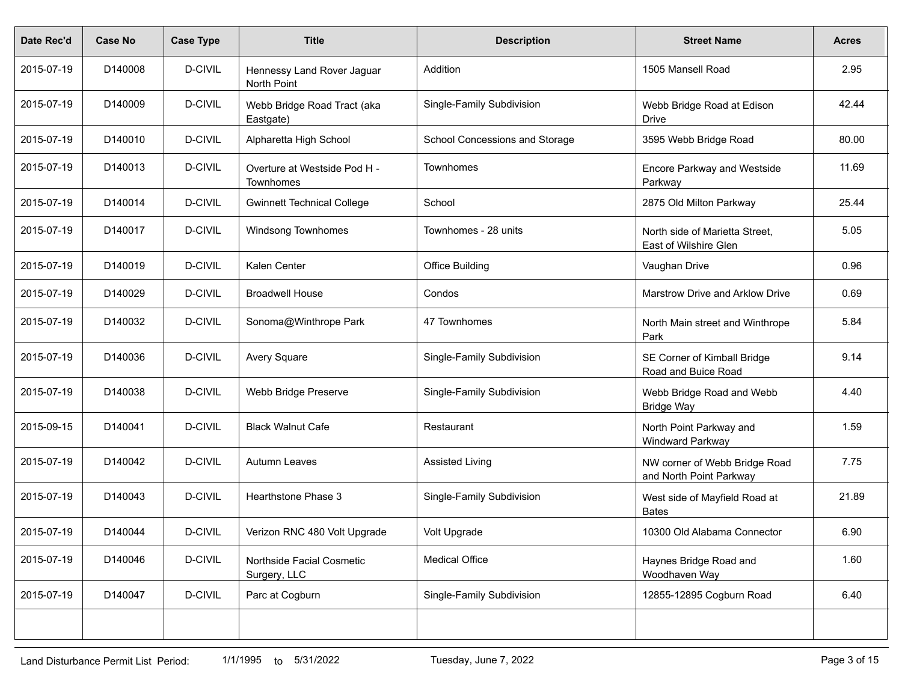| Date Rec'd | <b>Case No</b> | <b>Case Type</b> | <b>Title</b>                              | <b>Description</b>             | <b>Street Name</b>                                       | <b>Acres</b> |
|------------|----------------|------------------|-------------------------------------------|--------------------------------|----------------------------------------------------------|--------------|
| 2015-07-19 | D140008        | D-CIVIL          | Hennessy Land Rover Jaguar<br>North Point | Addition                       | 1505 Mansell Road                                        | 2.95         |
| 2015-07-19 | D140009        | D-CIVIL          | Webb Bridge Road Tract (aka<br>Eastgate)  | Single-Family Subdivision      | Webb Bridge Road at Edison<br><b>Drive</b>               | 42.44        |
| 2015-07-19 | D140010        | D-CIVIL          | Alpharetta High School                    | School Concessions and Storage | 3595 Webb Bridge Road                                    | 80.00        |
| 2015-07-19 | D140013        | D-CIVIL          | Overture at Westside Pod H -<br>Townhomes | <b>Townhomes</b>               | <b>Encore Parkway and Westside</b><br>Parkway            | 11.69        |
| 2015-07-19 | D140014        | D-CIVIL          | <b>Gwinnett Technical College</b>         | School                         | 2875 Old Milton Parkway                                  | 25.44        |
| 2015-07-19 | D140017        | D-CIVIL          | Windsong Townhomes                        | Townhomes - 28 units           | North side of Marietta Street,<br>East of Wilshire Glen  | 5.05         |
| 2015-07-19 | D140019        | D-CIVIL          | Kalen Center                              | <b>Office Building</b>         | Vaughan Drive                                            | 0.96         |
| 2015-07-19 | D140029        | D-CIVIL          | <b>Broadwell House</b>                    | Condos                         | Marstrow Drive and Arklow Drive                          | 0.69         |
| 2015-07-19 | D140032        | D-CIVIL          | Sonoma@Winthrope Park                     | 47 Townhomes                   | North Main street and Winthrope<br>Park                  | 5.84         |
| 2015-07-19 | D140036        | D-CIVIL          | Avery Square                              | Single-Family Subdivision      | SE Corner of Kimball Bridge<br>Road and Buice Road       | 9.14         |
| 2015-07-19 | D140038        | D-CIVIL          | Webb Bridge Preserve                      | Single-Family Subdivision      | Webb Bridge Road and Webb<br><b>Bridge Way</b>           | 4.40         |
| 2015-09-15 | D140041        | D-CIVIL          | <b>Black Walnut Cafe</b>                  | Restaurant                     | North Point Parkway and<br>Windward Parkway              | 1.59         |
| 2015-07-19 | D140042        | D-CIVIL          | <b>Autumn Leaves</b>                      | <b>Assisted Living</b>         | NW corner of Webb Bridge Road<br>and North Point Parkway | 7.75         |
| 2015-07-19 | D140043        | D-CIVIL          | Hearthstone Phase 3                       | Single-Family Subdivision      | West side of Mayfield Road at<br><b>Bates</b>            | 21.89        |
| 2015-07-19 | D140044        | D-CIVIL          | Verizon RNC 480 Volt Upgrade              | Volt Upgrade                   | 10300 Old Alabama Connector                              | 6.90         |
| 2015-07-19 | D140046        | D-CIVIL          | Northside Facial Cosmetic<br>Surgery, LLC | <b>Medical Office</b>          | Haynes Bridge Road and<br>Woodhaven Way                  | 1.60         |
| 2015-07-19 | D140047        | D-CIVIL          | Parc at Cogburn                           | Single-Family Subdivision      | 12855-12895 Cogburn Road                                 | 6.40         |
|            |                |                  |                                           |                                |                                                          |              |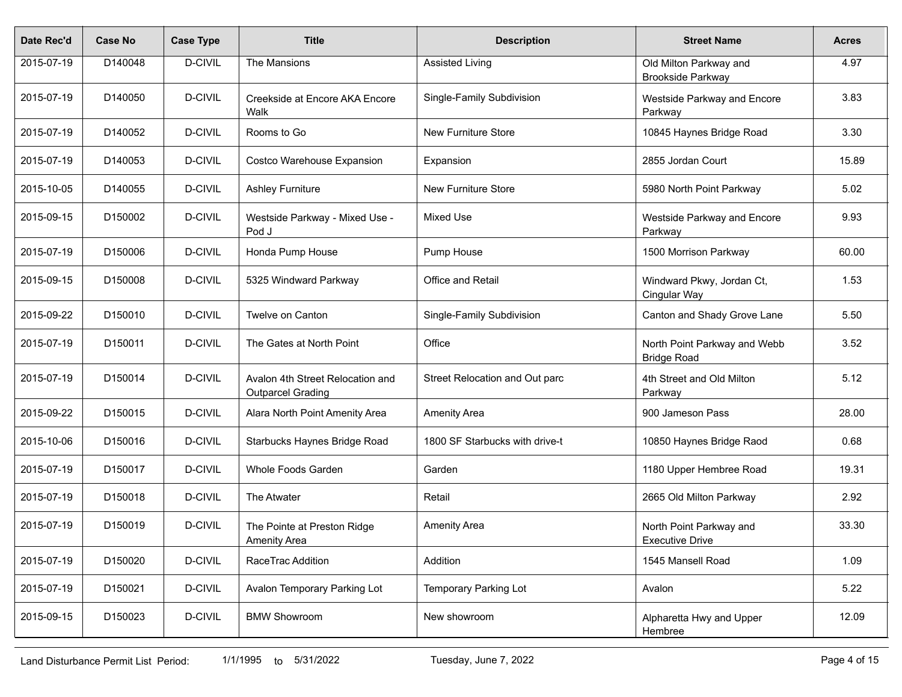| Date Rec'd | <b>Case No</b> | <b>Case Type</b> | <b>Title</b>                                                 | <b>Description</b>             | <b>Street Name</b>                                 | <b>Acres</b> |
|------------|----------------|------------------|--------------------------------------------------------------|--------------------------------|----------------------------------------------------|--------------|
| 2015-07-19 | D140048        | D-CIVIL          | The Mansions                                                 | <b>Assisted Living</b>         | Old Milton Parkway and<br>Brookside Parkway        | 4.97         |
| 2015-07-19 | D140050        | D-CIVIL          | Creekside at Encore AKA Encore<br>Walk                       | Single-Family Subdivision      | Westside Parkway and Encore<br>Parkway             | 3.83         |
| 2015-07-19 | D140052        | D-CIVIL          | Rooms to Go                                                  | <b>New Furniture Store</b>     | 10845 Haynes Bridge Road                           | 3.30         |
| 2015-07-19 | D140053        | D-CIVIL          | Costco Warehouse Expansion                                   | Expansion                      | 2855 Jordan Court                                  | 15.89        |
| 2015-10-05 | D140055        | D-CIVIL          | <b>Ashley Furniture</b>                                      | New Furniture Store            | 5980 North Point Parkway                           | 5.02         |
| 2015-09-15 | D150002        | D-CIVIL          | Westside Parkway - Mixed Use -<br>Pod J                      | <b>Mixed Use</b>               | Westside Parkway and Encore<br>Parkway             | 9.93         |
| 2015-07-19 | D150006        | D-CIVIL          | Honda Pump House                                             | Pump House                     | 1500 Morrison Parkway                              | 60.00        |
| 2015-09-15 | D150008        | D-CIVIL          | 5325 Windward Parkway                                        | Office and Retail              | Windward Pkwy, Jordan Ct,<br>Cingular Way          | 1.53         |
| 2015-09-22 | D150010        | D-CIVIL          | Twelve on Canton                                             | Single-Family Subdivision      | Canton and Shady Grove Lane                        | 5.50         |
| 2015-07-19 | D150011        | D-CIVIL          | The Gates at North Point                                     | Office                         | North Point Parkway and Webb<br><b>Bridge Road</b> | 3.52         |
| 2015-07-19 | D150014        | D-CIVIL          | Avalon 4th Street Relocation and<br><b>Outparcel Grading</b> | Street Relocation and Out parc | 4th Street and Old Milton<br>Parkway               | 5.12         |
| 2015-09-22 | D150015        | D-CIVIL          | Alara North Point Amenity Area                               | <b>Amenity Area</b>            | 900 Jameson Pass                                   | 28.00        |
| 2015-10-06 | D150016        | D-CIVIL          | Starbucks Haynes Bridge Road                                 | 1800 SF Starbucks with drive-t | 10850 Haynes Bridge Raod                           | 0.68         |
| 2015-07-19 | D150017        | D-CIVIL          | Whole Foods Garden                                           | Garden                         | 1180 Upper Hembree Road                            | 19.31        |
| 2015-07-19 | D150018        | D-CIVIL          | The Atwater                                                  | Retail                         | 2665 Old Milton Parkway                            | 2.92         |
| 2015-07-19 | D150019        | D-CIVIL          | The Pointe at Preston Ridge<br><b>Amenity Area</b>           | <b>Amenity Area</b>            | North Point Parkway and<br><b>Executive Drive</b>  | 33.30        |
| 2015-07-19 | D150020        | D-CIVIL          | RaceTrac Addition                                            | Addition                       | 1545 Mansell Road                                  | 1.09         |
| 2015-07-19 | D150021        | D-CIVIL          | Avalon Temporary Parking Lot                                 | <b>Temporary Parking Lot</b>   | Avalon                                             | 5.22         |
| 2015-09-15 | D150023        | D-CIVIL          | <b>BMW Showroom</b>                                          | New showroom                   | Alpharetta Hwy and Upper<br>Hembree                | 12.09        |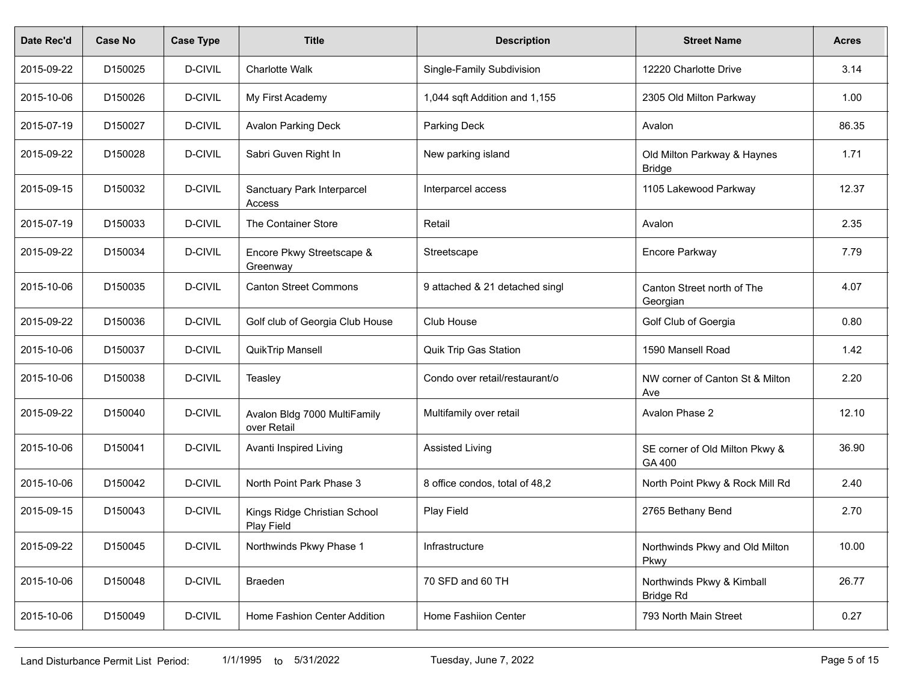| Date Rec'd | Case No | <b>Case Type</b> | <b>Title</b>                                | <b>Description</b>             | <b>Street Name</b>                            | <b>Acres</b> |
|------------|---------|------------------|---------------------------------------------|--------------------------------|-----------------------------------------------|--------------|
| 2015-09-22 | D150025 | D-CIVIL          | <b>Charlotte Walk</b>                       | Single-Family Subdivision      | 12220 Charlotte Drive                         | 3.14         |
| 2015-10-06 | D150026 | D-CIVIL          | My First Academy                            | 1,044 sqft Addition and 1,155  | 2305 Old Milton Parkway                       | 1.00         |
| 2015-07-19 | D150027 | D-CIVIL          | <b>Avalon Parking Deck</b>                  | Parking Deck                   | Avalon                                        | 86.35        |
| 2015-09-22 | D150028 | D-CIVIL          | Sabri Guven Right In                        | New parking island             | Old Milton Parkway & Haynes<br><b>Bridge</b>  | 1.71         |
| 2015-09-15 | D150032 | D-CIVIL          | Sanctuary Park Interparcel<br>Access        | Interparcel access             | 1105 Lakewood Parkway                         | 12.37        |
| 2015-07-19 | D150033 | D-CIVIL          | The Container Store                         | Retail                         | Avalon                                        | 2.35         |
| 2015-09-22 | D150034 | D-CIVIL          | Encore Pkwy Streetscape &<br>Greenway       | Streetscape                    | Encore Parkway                                | 7.79         |
| 2015-10-06 | D150035 | D-CIVIL          | <b>Canton Street Commons</b>                | 9 attached & 21 detached singl | Canton Street north of The<br>Georgian        | 4.07         |
| 2015-09-22 | D150036 | D-CIVIL          | Golf club of Georgia Club House             | Club House                     | Golf Club of Goergia                          | 0.80         |
| 2015-10-06 | D150037 | D-CIVIL          | <b>QuikTrip Mansell</b>                     | <b>Quik Trip Gas Station</b>   | 1590 Mansell Road                             | 1.42         |
| 2015-10-06 | D150038 | D-CIVIL          | Teasley                                     | Condo over retail/restaurant/o | NW corner of Canton St & Milton<br>Ave        | 2.20         |
| 2015-09-22 | D150040 | D-CIVIL          | Avalon Bldg 7000 MultiFamily<br>over Retail | Multifamily over retail        | Avalon Phase 2                                | 12.10        |
| 2015-10-06 | D150041 | D-CIVIL          | Avanti Inspired Living                      | <b>Assisted Living</b>         | SE corner of Old Milton Pkwy &<br>GA 400      | 36.90        |
| 2015-10-06 | D150042 | D-CIVIL          | North Point Park Phase 3                    | 8 office condos, total of 48,2 | North Point Pkwy & Rock Mill Rd               | 2.40         |
| 2015-09-15 | D150043 | D-CIVIL          | Kings Ridge Christian School<br>Play Field  | Play Field                     | 2765 Bethany Bend                             | 2.70         |
| 2015-09-22 | D150045 | D-CIVIL          | Northwinds Pkwy Phase 1                     | Infrastructure                 | Northwinds Pkwy and Old Milton<br>Pkwy        | 10.00        |
| 2015-10-06 | D150048 | D-CIVIL          | Braeden                                     | 70 SFD and 60 TH               | Northwinds Pkwy & Kimball<br><b>Bridge Rd</b> | 26.77        |
| 2015-10-06 | D150049 | D-CIVIL          | Home Fashion Center Addition                | Home Fashiion Center           | 793 North Main Street                         | 0.27         |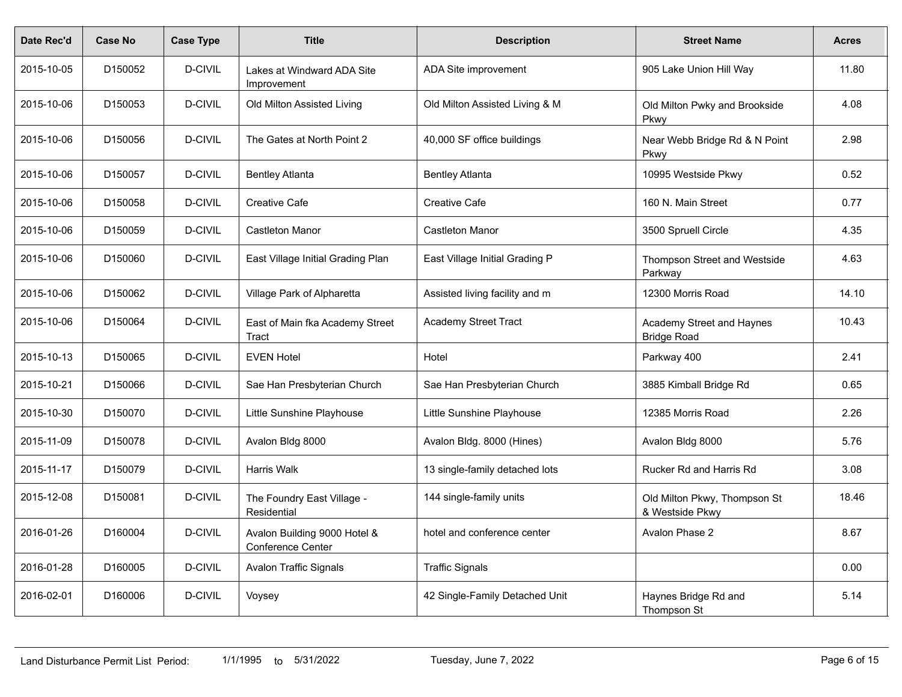| Date Rec'd | Case No             | <b>Case Type</b> | <b>Title</b>                                      | <b>Description</b>             | <b>Street Name</b>                              | <b>Acres</b> |
|------------|---------------------|------------------|---------------------------------------------------|--------------------------------|-------------------------------------------------|--------------|
| 2015-10-05 | D150052             | D-CIVIL          | Lakes at Windward ADA Site<br>Improvement         | ADA Site improvement           | 905 Lake Union Hill Way                         | 11.80        |
| 2015-10-06 | D150053             | D-CIVIL          | Old Milton Assisted Living                        | Old Milton Assisted Living & M | Old Milton Pwky and Brookside<br><b>Pkwy</b>    | 4.08         |
| 2015-10-06 | D150056             | D-CIVIL          | The Gates at North Point 2                        | 40,000 SF office buildings     | Near Webb Bridge Rd & N Point<br><b>Pkwy</b>    | 2.98         |
| 2015-10-06 | D150057             | D-CIVIL          | <b>Bentley Atlanta</b>                            | <b>Bentley Atlanta</b>         | 10995 Westside Pkwy                             | 0.52         |
| 2015-10-06 | D150058             | D-CIVIL          | <b>Creative Cafe</b>                              | <b>Creative Cafe</b>           | 160 N. Main Street                              | 0.77         |
| 2015-10-06 | D150059             | D-CIVIL          | <b>Castleton Manor</b>                            | <b>Castleton Manor</b>         | 3500 Spruell Circle                             | 4.35         |
| 2015-10-06 | D150060             | D-CIVIL          | East Village Initial Grading Plan                 | East Village Initial Grading P | Thompson Street and Westside<br>Parkway         | 4.63         |
| 2015-10-06 | D150062             | D-CIVIL          | Village Park of Alpharetta                        | Assisted living facility and m | 12300 Morris Road                               | 14.10        |
| 2015-10-06 | D150064             | D-CIVIL          | East of Main fka Academy Street<br>Tract          | <b>Academy Street Tract</b>    | Academy Street and Haynes<br><b>Bridge Road</b> | 10.43        |
| 2015-10-13 | D150065             | D-CIVIL          | <b>EVEN Hotel</b>                                 | Hotel                          | Parkway 400                                     | 2.41         |
| 2015-10-21 | D150066             | D-CIVIL          | Sae Han Presbyterian Church                       | Sae Han Presbyterian Church    | 3885 Kimball Bridge Rd                          | 0.65         |
| 2015-10-30 | D <sub>150070</sub> | D-CIVIL          | Little Sunshine Playhouse                         | Little Sunshine Playhouse      | 12385 Morris Road                               | 2.26         |
| 2015-11-09 | D150078             | D-CIVIL          | Avalon Bldg 8000                                  | Avalon Bldg. 8000 (Hines)      | Avalon Bldg 8000                                | 5.76         |
| 2015-11-17 | D150079             | D-CIVIL          | Harris Walk                                       | 13 single-family detached lots | Rucker Rd and Harris Rd                         | 3.08         |
| 2015-12-08 | D150081             | D-CIVIL          | The Foundry East Village -<br>Residential         | 144 single-family units        | Old Milton Pkwy, Thompson St<br>& Westside Pkwy | 18.46        |
| 2016-01-26 | D160004             | D-CIVIL          | Avalon Building 9000 Hotel &<br>Conference Center | hotel and conference center    | Avalon Phase 2                                  | 8.67         |
| 2016-01-28 | D160005             | D-CIVIL          | <b>Avalon Traffic Signals</b>                     | <b>Traffic Signals</b>         |                                                 | 0.00         |
| 2016-02-01 | D160006             | D-CIVIL          | Voysey                                            | 42 Single-Family Detached Unit | Haynes Bridge Rd and<br>Thompson St             | 5.14         |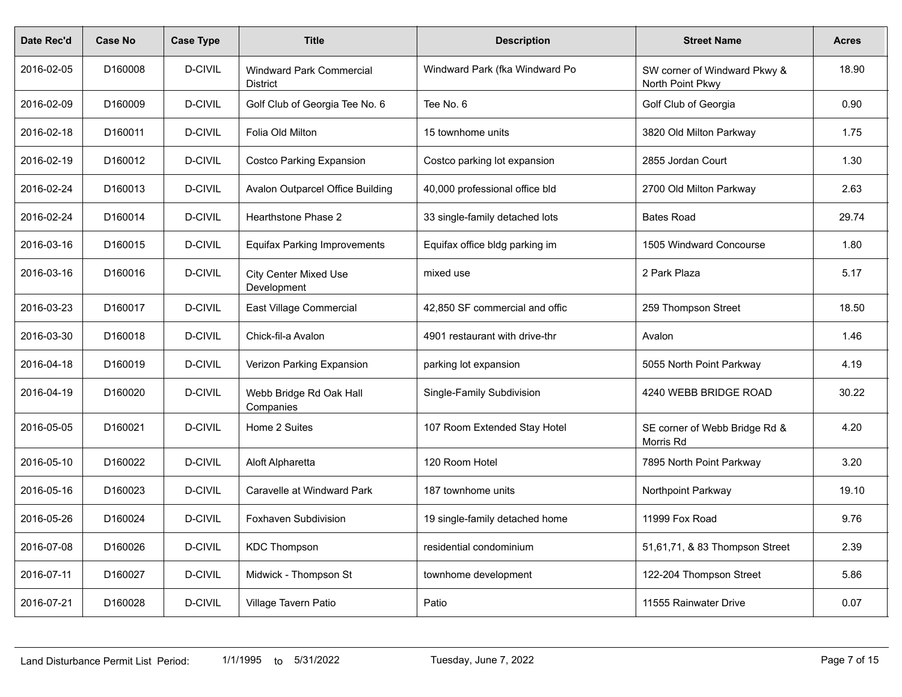| Date Rec'd | <b>Case No</b>      | <b>Case Type</b> | <b>Title</b>                                       | <b>Description</b>             | <b>Street Name</b>                               | <b>Acres</b> |
|------------|---------------------|------------------|----------------------------------------------------|--------------------------------|--------------------------------------------------|--------------|
| 2016-02-05 | D <sub>160008</sub> | D-CIVIL          | <b>Windward Park Commercial</b><br><b>District</b> | Windward Park (fka Windward Po | SW corner of Windward Pkwy &<br>North Point Pkwy | 18.90        |
| 2016-02-09 | D160009             | D-CIVIL          | Golf Club of Georgia Tee No. 6                     | Tee No. 6                      | Golf Club of Georgia                             | 0.90         |
| 2016-02-18 | D160011             | D-CIVIL          | Folia Old Milton                                   | 15 townhome units              | 3820 Old Milton Parkway                          | 1.75         |
| 2016-02-19 | D160012             | D-CIVIL          | <b>Costco Parking Expansion</b>                    | Costco parking lot expansion   | 2855 Jordan Court                                | 1.30         |
| 2016-02-24 | D160013             | D-CIVIL          | Avalon Outparcel Office Building                   | 40,000 professional office bld | 2700 Old Milton Parkway                          | 2.63         |
| 2016-02-24 | D160014             | D-CIVIL          | Hearthstone Phase 2                                | 33 single-family detached lots | <b>Bates Road</b>                                | 29.74        |
| 2016-03-16 | D160015             | D-CIVIL          | <b>Equifax Parking Improvements</b>                | Equifax office bldg parking im | 1505 Windward Concourse                          | 1.80         |
| 2016-03-16 | D160016             | D-CIVIL          | <b>City Center Mixed Use</b><br>Development        | mixed use                      | 2 Park Plaza                                     | 5.17         |
| 2016-03-23 | D160017             | D-CIVIL          | East Village Commercial                            | 42,850 SF commercial and offic | 259 Thompson Street                              | 18.50        |
| 2016-03-30 | D160018             | D-CIVIL          | Chick-fil-a Avalon                                 | 4901 restaurant with drive-thr | Avalon                                           | 1.46         |
| 2016-04-18 | D160019             | D-CIVIL          | Verizon Parking Expansion                          | parking lot expansion          | 5055 North Point Parkway                         | 4.19         |
| 2016-04-19 | D160020             | D-CIVIL          | Webb Bridge Rd Oak Hall<br>Companies               | Single-Family Subdivision      | 4240 WEBB BRIDGE ROAD                            | 30.22        |
| 2016-05-05 | D160021             | D-CIVIL          | Home 2 Suites                                      | 107 Room Extended Stay Hotel   | SE corner of Webb Bridge Rd &<br>Morris Rd       | 4.20         |
| 2016-05-10 | D160022             | D-CIVIL          | Aloft Alpharetta                                   | 120 Room Hotel                 | 7895 North Point Parkway                         | 3.20         |
| 2016-05-16 | D160023             | D-CIVIL          | Caravelle at Windward Park                         | 187 townhome units             | Northpoint Parkway                               | 19.10        |
| 2016-05-26 | D160024             | <b>D-CIVIL</b>   | <b>Foxhaven Subdivision</b>                        | 19 single-family detached home | 11999 Fox Road                                   | 9.76         |
| 2016-07-08 | D160026             | D-CIVIL          | <b>KDC Thompson</b>                                | residential condominium        | 51,61,71, & 83 Thompson Street                   | 2.39         |
| 2016-07-11 | D160027             | D-CIVIL          | Midwick - Thompson St                              | townhome development           | 122-204 Thompson Street                          | 5.86         |
| 2016-07-21 | D160028             | D-CIVIL          | Village Tavern Patio                               | Patio                          | 11555 Rainwater Drive                            | 0.07         |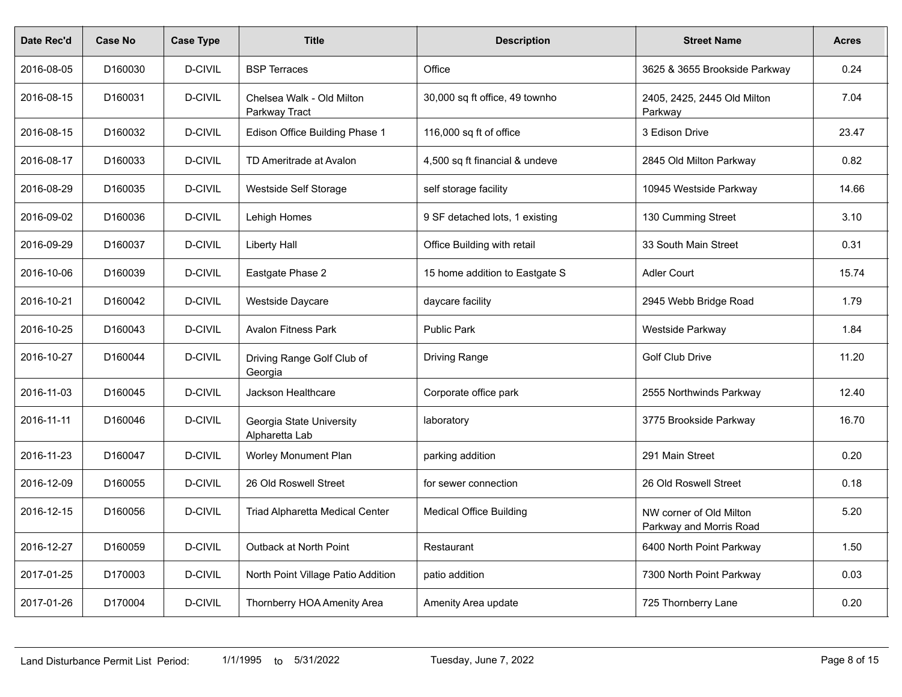| Date Rec'd | <b>Case No</b> | <b>Case Type</b> | <b>Title</b>                               | <b>Description</b>             | <b>Street Name</b>                                 | Acres |
|------------|----------------|------------------|--------------------------------------------|--------------------------------|----------------------------------------------------|-------|
| 2016-08-05 | D160030        | D-CIVIL          | <b>BSP Terraces</b>                        | Office                         | 3625 & 3655 Brookside Parkway                      | 0.24  |
| 2016-08-15 | D160031        | D-CIVIL          | Chelsea Walk - Old Milton<br>Parkway Tract | 30,000 sq ft office, 49 townho | 2405, 2425, 2445 Old Milton<br>Parkway             | 7.04  |
| 2016-08-15 | D160032        | D-CIVIL          | Edison Office Building Phase 1             | 116,000 sq ft of office        | 3 Edison Drive                                     | 23.47 |
| 2016-08-17 | D160033        | D-CIVIL          | TD Ameritrade at Avalon                    | 4,500 sq ft financial & undeve | 2845 Old Milton Parkway                            | 0.82  |
| 2016-08-29 | D160035        | D-CIVIL          | Westside Self Storage                      | self storage facility          | 10945 Westside Parkway                             | 14.66 |
| 2016-09-02 | D160036        | D-CIVIL          | Lehigh Homes                               | 9 SF detached lots, 1 existing | 130 Cumming Street                                 | 3.10  |
| 2016-09-29 | D160037        | D-CIVIL          | Liberty Hall                               | Office Building with retail    | 33 South Main Street                               | 0.31  |
| 2016-10-06 | D160039        | D-CIVIL          | Eastgate Phase 2                           | 15 home addition to Eastgate S | <b>Adler Court</b>                                 | 15.74 |
| 2016-10-21 | D160042        | D-CIVIL          | Westside Daycare                           | daycare facility               | 2945 Webb Bridge Road                              | 1.79  |
| 2016-10-25 | D160043        | D-CIVIL          | <b>Avalon Fitness Park</b>                 | <b>Public Park</b>             | Westside Parkway                                   | 1.84  |
| 2016-10-27 | D160044        | D-CIVIL          | Driving Range Golf Club of<br>Georgia      | <b>Driving Range</b>           | <b>Golf Club Drive</b>                             | 11.20 |
| 2016-11-03 | D160045        | <b>D-CIVIL</b>   | <b>Jackson Healthcare</b>                  | Corporate office park          | 2555 Northwinds Parkway                            | 12.40 |
| 2016-11-11 | D160046        | <b>D-CIVIL</b>   | Georgia State University<br>Alpharetta Lab | laboratory                     | 3775 Brookside Parkway                             | 16.70 |
| 2016-11-23 | D160047        | D-CIVIL          | Worley Monument Plan                       | parking addition               | 291 Main Street                                    | 0.20  |
| 2016-12-09 | D160055        | D-CIVIL          | 26 Old Roswell Street                      | for sewer connection           | 26 Old Roswell Street                              | 0.18  |
| 2016-12-15 | D160056        | D-CIVIL          | Triad Alpharetta Medical Center            | <b>Medical Office Building</b> | NW corner of Old Milton<br>Parkway and Morris Road | 5.20  |
| 2016-12-27 | D160059        | D-CIVIL          | Outback at North Point                     | Restaurant                     | 6400 North Point Parkway                           | 1.50  |
| 2017-01-25 | D170003        | D-CIVIL          | North Point Village Patio Addition         | patio addition                 | 7300 North Point Parkway                           | 0.03  |
| 2017-01-26 | D170004        | D-CIVIL          | Thornberry HOA Amenity Area                | Amenity Area update            | 725 Thornberry Lane                                | 0.20  |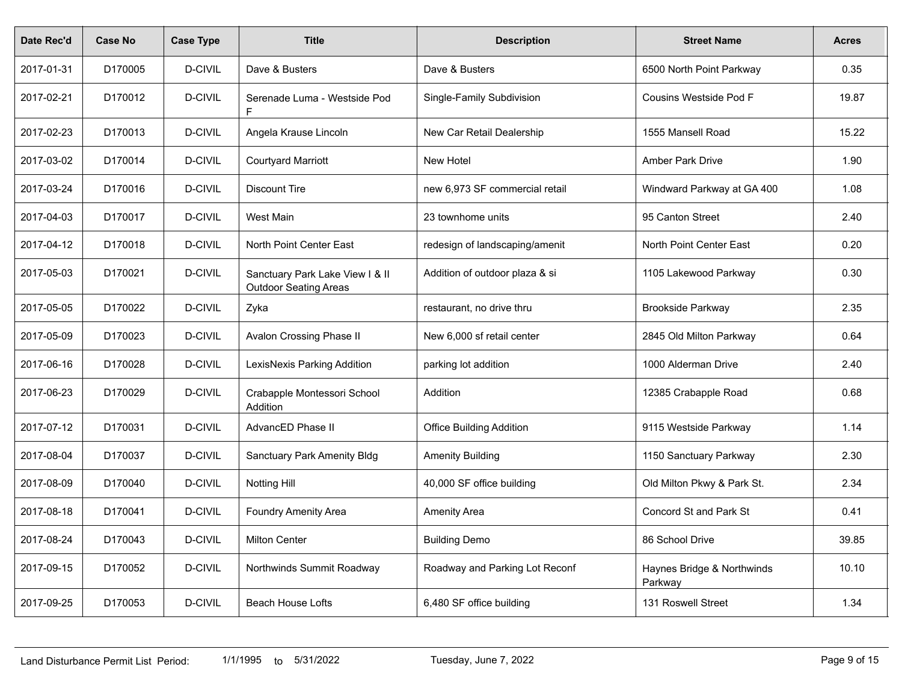| Date Rec'd | <b>Case No</b> | <b>Case Type</b> | <b>Title</b>                                                    | <b>Description</b>              | <b>Street Name</b>                    | <b>Acres</b> |
|------------|----------------|------------------|-----------------------------------------------------------------|---------------------------------|---------------------------------------|--------------|
| 2017-01-31 | D170005        | D-CIVIL          | Dave & Busters                                                  | Dave & Busters                  | 6500 North Point Parkway              | 0.35         |
| 2017-02-21 | D170012        | D-CIVIL          | Serenade Luma - Westside Pod<br>F.                              | Single-Family Subdivision       | Cousins Westside Pod F                | 19.87        |
| 2017-02-23 | D170013        | D-CIVIL          | Angela Krause Lincoln                                           | New Car Retail Dealership       | 1555 Mansell Road                     | 15.22        |
| 2017-03-02 | D170014        | D-CIVIL          | <b>Courtyard Marriott</b>                                       | <b>New Hotel</b>                | Amber Park Drive                      | 1.90         |
| 2017-03-24 | D170016        | D-CIVIL          | <b>Discount Tire</b>                                            | new 6,973 SF commercial retail  | Windward Parkway at GA 400            | 1.08         |
| 2017-04-03 | D170017        | D-CIVIL          | West Main                                                       | 23 townhome units               | 95 Canton Street                      | 2.40         |
| 2017-04-12 | D170018        | D-CIVIL          | North Point Center East                                         | redesign of landscaping/amenit  | North Point Center East               | 0.20         |
| 2017-05-03 | D170021        | D-CIVIL          | Sanctuary Park Lake View I & II<br><b>Outdoor Seating Areas</b> | Addition of outdoor plaza & si  | 1105 Lakewood Parkway                 | 0.30         |
| 2017-05-05 | D170022        | D-CIVIL          | Zyka                                                            | restaurant, no drive thru       | <b>Brookside Parkway</b>              | 2.35         |
| 2017-05-09 | D170023        | D-CIVIL          | Avalon Crossing Phase II                                        | New 6,000 sf retail center      | 2845 Old Milton Parkway               | 0.64         |
| 2017-06-16 | D170028        | D-CIVIL          | LexisNexis Parking Addition                                     | parking lot addition            | 1000 Alderman Drive                   | 2.40         |
| 2017-06-23 | D170029        | D-CIVIL          | Crabapple Montessori School<br>Addition                         | Addition                        | 12385 Crabapple Road                  | 0.68         |
| 2017-07-12 | D170031        | <b>D-CIVIL</b>   | AdvancED Phase II                                               | <b>Office Building Addition</b> | 9115 Westside Parkway                 | 1.14         |
| 2017-08-04 | D170037        | D-CIVIL          | <b>Sanctuary Park Amenity Bldg</b>                              | <b>Amenity Building</b>         | 1150 Sanctuary Parkway                | 2.30         |
| 2017-08-09 | D170040        | <b>D-CIVIL</b>   | <b>Notting Hill</b>                                             | 40,000 SF office building       | Old Milton Pkwy & Park St.            | 2.34         |
| 2017-08-18 | D170041        | <b>D-CIVIL</b>   | Foundry Amenity Area                                            | <b>Amenity Area</b>             | <b>Concord St and Park St</b>         | 0.41         |
| 2017-08-24 | D170043        | D-CIVIL          | <b>Milton Center</b>                                            | <b>Building Demo</b>            | 86 School Drive                       | 39.85        |
| 2017-09-15 | D170052        | D-CIVIL          | Northwinds Summit Roadway                                       | Roadway and Parking Lot Reconf  | Haynes Bridge & Northwinds<br>Parkway | 10.10        |
| 2017-09-25 | D170053        | D-CIVIL          | <b>Beach House Lofts</b>                                        | 6,480 SF office building        | 131 Roswell Street                    | 1.34         |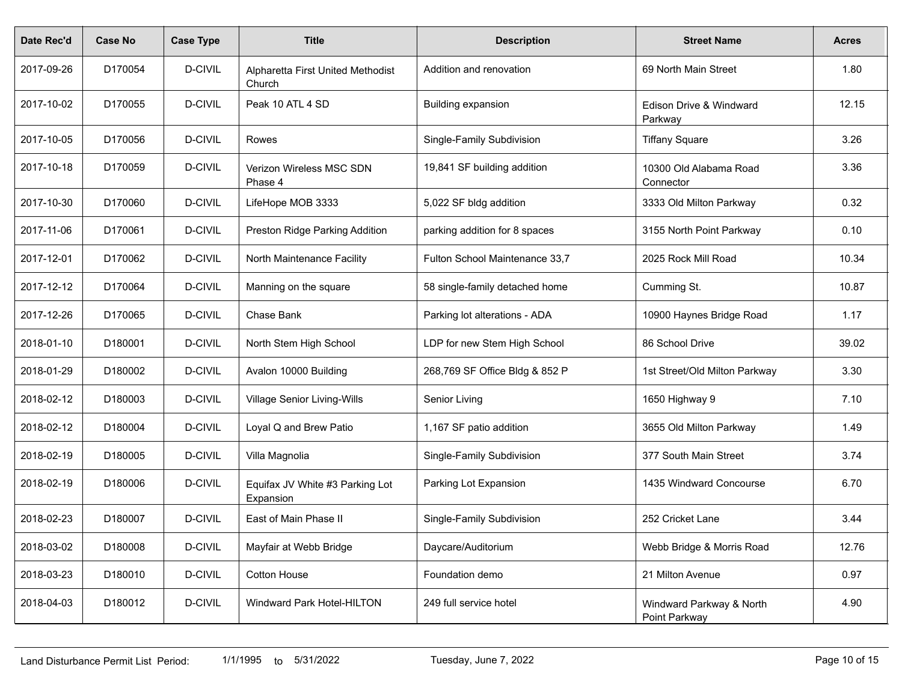| Date Rec'd | <b>Case No</b> | <b>Case Type</b> | <b>Title</b>                                 | <b>Description</b>             | <b>Street Name</b>                        | <b>Acres</b> |
|------------|----------------|------------------|----------------------------------------------|--------------------------------|-------------------------------------------|--------------|
| 2017-09-26 | D170054        | D-CIVIL          | Alpharetta First United Methodist<br>Church  | Addition and renovation        | 69 North Main Street                      | 1.80         |
| 2017-10-02 | D170055        | D-CIVIL          | Peak 10 ATL 4 SD                             | <b>Building expansion</b>      | Edison Drive & Windward<br>Parkway        | 12.15        |
| 2017-10-05 | D170056        | D-CIVIL          | Rowes                                        | Single-Family Subdivision      | <b>Tiffany Square</b>                     | 3.26         |
| 2017-10-18 | D170059        | D-CIVIL          | Verizon Wireless MSC SDN<br>Phase 4          | 19,841 SF building addition    | 10300 Old Alabama Road<br>Connector       | 3.36         |
| 2017-10-30 | D170060        | D-CIVIL          | LifeHope MOB 3333                            | 5,022 SF bldg addition         | 3333 Old Milton Parkway                   | 0.32         |
| 2017-11-06 | D170061        | D-CIVIL          | Preston Ridge Parking Addition               | parking addition for 8 spaces  | 3155 North Point Parkway                  | 0.10         |
| 2017-12-01 | D170062        | D-CIVIL          | North Maintenance Facility                   | Fulton School Maintenance 33,7 | 2025 Rock Mill Road                       | 10.34        |
| 2017-12-12 | D170064        | D-CIVIL          | Manning on the square                        | 58 single-family detached home | Cumming St.                               | 10.87        |
| 2017-12-26 | D170065        | D-CIVIL          | Chase Bank                                   | Parking lot alterations - ADA  | 10900 Haynes Bridge Road                  | 1.17         |
| 2018-01-10 | D180001        | D-CIVIL          | North Stem High School                       | LDP for new Stem High School   | 86 School Drive                           | 39.02        |
| 2018-01-29 | D180002        | D-CIVIL          | Avalon 10000 Building                        | 268,769 SF Office Bldg & 852 P | 1st Street/Old Milton Parkway             | 3.30         |
| 2018-02-12 | D180003        | D-CIVIL          | Village Senior Living-Wills                  | Senior Living                  | 1650 Highway 9                            | 7.10         |
| 2018-02-12 | D180004        | D-CIVIL          | Loyal Q and Brew Patio                       | 1,167 SF patio addition        | 3655 Old Milton Parkway                   | 1.49         |
| 2018-02-19 | D180005        | D-CIVIL          | Villa Magnolia                               | Single-Family Subdivision      | 377 South Main Street                     | 3.74         |
| 2018-02-19 | D180006        | D-CIVIL          | Equifax JV White #3 Parking Lot<br>Expansion | Parking Lot Expansion          | 1435 Windward Concourse                   | 6.70         |
| 2018-02-23 | D180007        | D-CIVIL          | East of Main Phase II                        | Single-Family Subdivision      | 252 Cricket Lane                          | 3.44         |
| 2018-03-02 | D180008        | D-CIVIL          | Mayfair at Webb Bridge                       | Daycare/Auditorium             | Webb Bridge & Morris Road                 | 12.76        |
| 2018-03-23 | D180010        | D-CIVIL          | Cotton House                                 | Foundation demo                | 21 Milton Avenue                          | 0.97         |
| 2018-04-03 | D180012        | D-CIVIL          | Windward Park Hotel-HILTON                   | 249 full service hotel         | Windward Parkway & North<br>Point Parkway | 4.90         |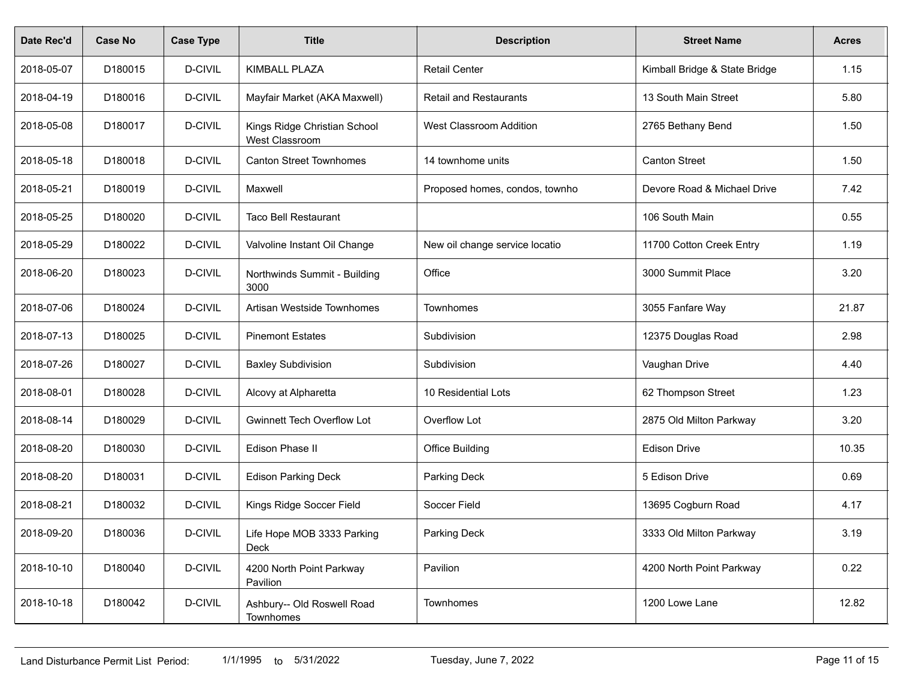| Date Rec'd | Case No | <b>Case Type</b> | <b>Title</b>                                   | <b>Description</b>             | <b>Street Name</b>            | <b>Acres</b> |
|------------|---------|------------------|------------------------------------------------|--------------------------------|-------------------------------|--------------|
| 2018-05-07 | D180015 | D-CIVIL          | KIMBALL PLAZA                                  | <b>Retail Center</b>           | Kimball Bridge & State Bridge | 1.15         |
| 2018-04-19 | D180016 | D-CIVIL          | Mayfair Market (AKA Maxwell)                   | <b>Retail and Restaurants</b>  | 13 South Main Street          | 5.80         |
| 2018-05-08 | D180017 | D-CIVIL          | Kings Ridge Christian School<br>West Classroom | <b>West Classroom Addition</b> | 2765 Bethany Bend             | 1.50         |
| 2018-05-18 | D180018 | D-CIVIL          | <b>Canton Street Townhomes</b>                 | 14 townhome units              | <b>Canton Street</b>          | 1.50         |
| 2018-05-21 | D180019 | D-CIVIL          | Maxwell                                        | Proposed homes, condos, townho | Devore Road & Michael Drive   | 7.42         |
| 2018-05-25 | D180020 | D-CIVIL          | <b>Taco Bell Restaurant</b>                    |                                | 106 South Main                | 0.55         |
| 2018-05-29 | D180022 | D-CIVIL          | Valvoline Instant Oil Change                   | New oil change service locatio | 11700 Cotton Creek Entry      | 1.19         |
| 2018-06-20 | D180023 | D-CIVIL          | Northwinds Summit - Building<br>3000           | Office                         | 3000 Summit Place             | 3.20         |
| 2018-07-06 | D180024 | D-CIVIL          | Artisan Westside Townhomes                     | Townhomes                      | 3055 Fanfare Way              | 21.87        |
| 2018-07-13 | D180025 | D-CIVIL          | <b>Pinemont Estates</b>                        | Subdivision                    | 12375 Douglas Road            | 2.98         |
| 2018-07-26 | D180027 | D-CIVIL          | <b>Baxley Subdivision</b>                      | Subdivision                    | Vaughan Drive                 | 4.40         |
| 2018-08-01 | D180028 | D-CIVIL          | Alcovy at Alpharetta                           | 10 Residential Lots            | 62 Thompson Street            | 1.23         |
| 2018-08-14 | D180029 | D-CIVIL          | <b>Gwinnett Tech Overflow Lot</b>              | Overflow Lot                   | 2875 Old Milton Parkway       | 3.20         |
| 2018-08-20 | D180030 | D-CIVIL          | Edison Phase II                                | <b>Office Building</b>         | <b>Edison Drive</b>           | 10.35        |
| 2018-08-20 | D180031 | D-CIVIL          | <b>Edison Parking Deck</b>                     | Parking Deck                   | 5 Edison Drive                | 0.69         |
| 2018-08-21 | D180032 | D-CIVIL          | Kings Ridge Soccer Field                       | Soccer Field                   | 13695 Cogburn Road            | 4.17         |
| 2018-09-20 | D180036 | D-CIVIL          | Life Hope MOB 3333 Parking<br>Deck             | Parking Deck                   | 3333 Old Milton Parkway       | 3.19         |
| 2018-10-10 | D180040 | D-CIVIL          | 4200 North Point Parkway<br>Pavilion           | Pavilion                       | 4200 North Point Parkway      | 0.22         |
| 2018-10-18 | D180042 | D-CIVIL          | Ashbury-- Old Roswell Road<br>Townhomes        | Townhomes                      | 1200 Lowe Lane                | 12.82        |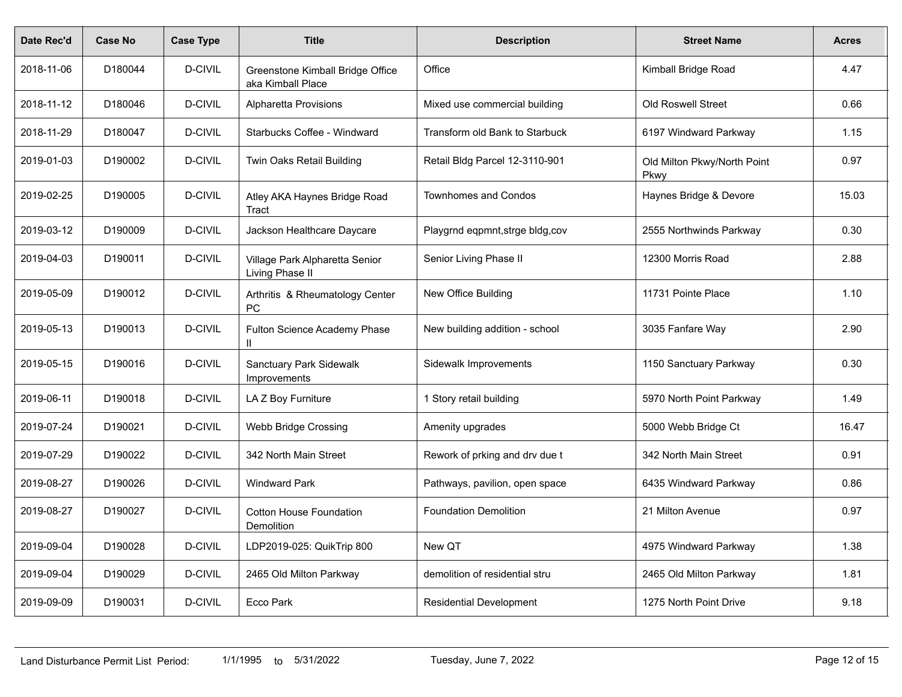| Date Rec'd | <b>Case No</b> | <b>Case Type</b> | <b>Title</b>                                          | <b>Description</b>               | <b>Street Name</b>                         | <b>Acres</b> |
|------------|----------------|------------------|-------------------------------------------------------|----------------------------------|--------------------------------------------|--------------|
| 2018-11-06 | D180044        | D-CIVIL          | Greenstone Kimball Bridge Office<br>aka Kimball Place | Office                           | Kimball Bridge Road                        | 4.47         |
| 2018-11-12 | D180046        | <b>D-CIVIL</b>   | <b>Alpharetta Provisions</b>                          | Mixed use commercial building    | <b>Old Roswell Street</b>                  | 0.66         |
| 2018-11-29 | D180047        | D-CIVIL          | Starbucks Coffee - Windward                           | Transform old Bank to Starbuck   | 6197 Windward Parkway                      | 1.15         |
| 2019-01-03 | D190002        | <b>D-CIVIL</b>   | Twin Oaks Retail Building                             | Retail Bldg Parcel 12-3110-901   | Old Milton Pkwy/North Point<br><b>Pkwy</b> | 0.97         |
| 2019-02-25 | D190005        | D-CIVIL          | Atley AKA Haynes Bridge Road<br>Tract                 | <b>Townhomes and Condos</b>      | Haynes Bridge & Devore                     | 15.03        |
| 2019-03-12 | D190009        | D-CIVIL          | Jackson Healthcare Daycare                            | Playgrnd eqpmnt, strge bldg, cov | 2555 Northwinds Parkway                    | 0.30         |
| 2019-04-03 | D190011        | D-CIVIL          | Village Park Alpharetta Senior<br>Living Phase II     | Senior Living Phase II           | 12300 Morris Road                          | 2.88         |
| 2019-05-09 | D190012        | D-CIVIL          | Arthritis & Rheumatology Center<br>PC                 | New Office Building              | 11731 Pointe Place                         | 1.10         |
| 2019-05-13 | D190013        | D-CIVIL          | Fulton Science Academy Phase<br>Ш.                    | New building addition - school   | 3035 Fanfare Way                           | 2.90         |
| 2019-05-15 | D190016        | D-CIVIL          | <b>Sanctuary Park Sidewalk</b><br>Improvements        | Sidewalk Improvements            | 1150 Sanctuary Parkway                     | 0.30         |
| 2019-06-11 | D190018        | D-CIVIL          | LAZ Boy Furniture                                     | 1 Story retail building          | 5970 North Point Parkway                   | 1.49         |
| 2019-07-24 | D190021        | D-CIVIL          | Webb Bridge Crossing                                  | Amenity upgrades                 | 5000 Webb Bridge Ct                        | 16.47        |
| 2019-07-29 | D190022        | D-CIVIL          | 342 North Main Street                                 | Rework of prking and drv due t   | 342 North Main Street                      | 0.91         |
| 2019-08-27 | D190026        | D-CIVIL          | <b>Windward Park</b>                                  | Pathways, pavilion, open space   | 6435 Windward Parkway                      | 0.86         |
| 2019-08-27 | D190027        | D-CIVIL          | <b>Cotton House Foundation</b><br>Demolition          | <b>Foundation Demolition</b>     | 21 Milton Avenue                           | 0.97         |
| 2019-09-04 | D190028        | D-CIVIL          | LDP2019-025: QuikTrip 800                             | New QT                           | 4975 Windward Parkway                      | 1.38         |
| 2019-09-04 | D190029        | <b>D-CIVIL</b>   | 2465 Old Milton Parkway                               | demolition of residential stru   | 2465 Old Milton Parkway                    | 1.81         |
| 2019-09-09 | D190031        | D-CIVIL          | Ecco Park                                             | <b>Residential Development</b>   | 1275 North Point Drive                     | 9.18         |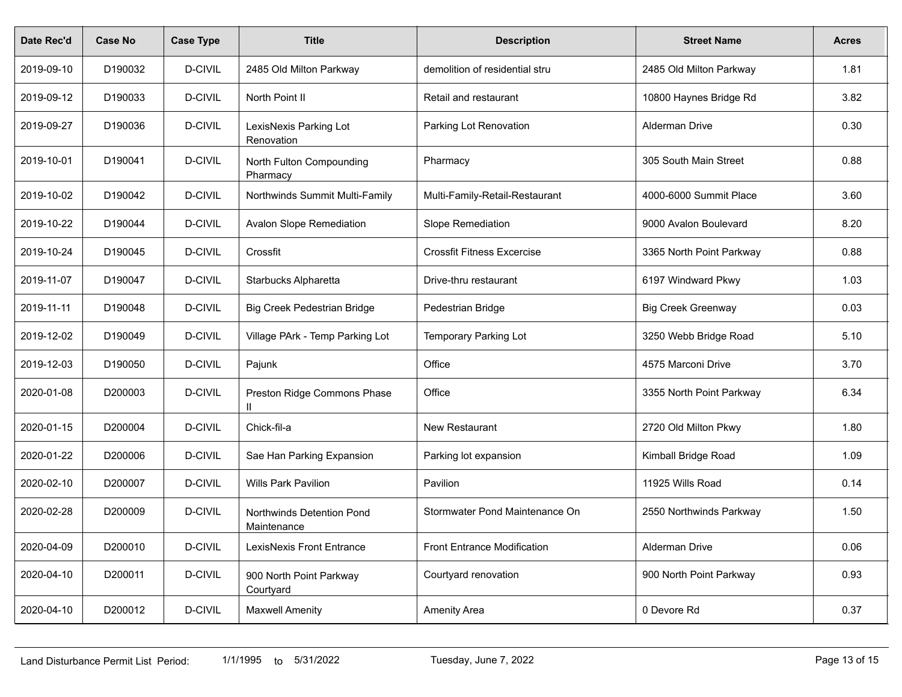| Date Rec'd | <b>Case No</b> | <b>Case Type</b> | <b>Title</b>                             | <b>Description</b>                 | <b>Street Name</b>        | <b>Acres</b> |
|------------|----------------|------------------|------------------------------------------|------------------------------------|---------------------------|--------------|
| 2019-09-10 | D190032        | D-CIVIL          | 2485 Old Milton Parkway                  | demolition of residential stru     | 2485 Old Milton Parkway   | 1.81         |
| 2019-09-12 | D190033        | D-CIVIL          | North Point II                           | Retail and restaurant              | 10800 Haynes Bridge Rd    | 3.82         |
| 2019-09-27 | D190036        | D-CIVIL          | LexisNexis Parking Lot<br>Renovation     | Parking Lot Renovation             | <b>Alderman Drive</b>     | 0.30         |
| 2019-10-01 | D190041        | D-CIVIL          | North Fulton Compounding<br>Pharmacy     | Pharmacy                           | 305 South Main Street     | 0.88         |
| 2019-10-02 | D190042        | D-CIVIL          | Northwinds Summit Multi-Family           | Multi-Family-Retail-Restaurant     | 4000-6000 Summit Place    | 3.60         |
| 2019-10-22 | D190044        | D-CIVIL          | <b>Avalon Slope Remediation</b>          | Slope Remediation                  | 9000 Avalon Boulevard     | 8.20         |
| 2019-10-24 | D190045        | D-CIVIL          | Crossfit                                 | <b>Crossfit Fitness Excercise</b>  | 3365 North Point Parkway  | 0.88         |
| 2019-11-07 | D190047        | D-CIVIL          | Starbucks Alpharetta                     | Drive-thru restaurant              | 6197 Windward Pkwy        | 1.03         |
| 2019-11-11 | D190048        | D-CIVIL          | <b>Big Creek Pedestrian Bridge</b>       | Pedestrian Bridge                  | <b>Big Creek Greenway</b> | 0.03         |
| 2019-12-02 | D190049        | D-CIVIL          | Village PArk - Temp Parking Lot          | Temporary Parking Lot              | 3250 Webb Bridge Road     | 5.10         |
| 2019-12-03 | D190050        | D-CIVIL          | Pajunk                                   | Office                             | 4575 Marconi Drive        | 3.70         |
| 2020-01-08 | D200003        | D-CIVIL          | Preston Ridge Commons Phase              | Office                             | 3355 North Point Parkway  | 6.34         |
| 2020-01-15 | D200004        | D-CIVIL          | Chick-fil-a                              | New Restaurant                     | 2720 Old Milton Pkwy      | 1.80         |
| 2020-01-22 | D200006        | D-CIVIL          | Sae Han Parking Expansion                | Parking lot expansion              | Kimball Bridge Road       | 1.09         |
| 2020-02-10 | D200007        | D-CIVIL          | <b>Wills Park Pavilion</b>               | Pavilion                           | 11925 Wills Road          | 0.14         |
| 2020-02-28 | D200009        | D-CIVIL          | Northwinds Detention Pond<br>Maintenance | Stormwater Pond Maintenance On     | 2550 Northwinds Parkway   | 1.50         |
| 2020-04-09 | D200010        | D-CIVIL          | LexisNexis Front Entrance                | <b>Front Entrance Modification</b> | <b>Alderman Drive</b>     | 0.06         |
| 2020-04-10 | D200011        | D-CIVIL          | 900 North Point Parkway<br>Courtyard     | Courtyard renovation               | 900 North Point Parkway   | 0.93         |
| 2020-04-10 | D200012        | D-CIVIL          | <b>Maxwell Amenity</b>                   | Amenity Area                       | 0 Devore Rd               | 0.37         |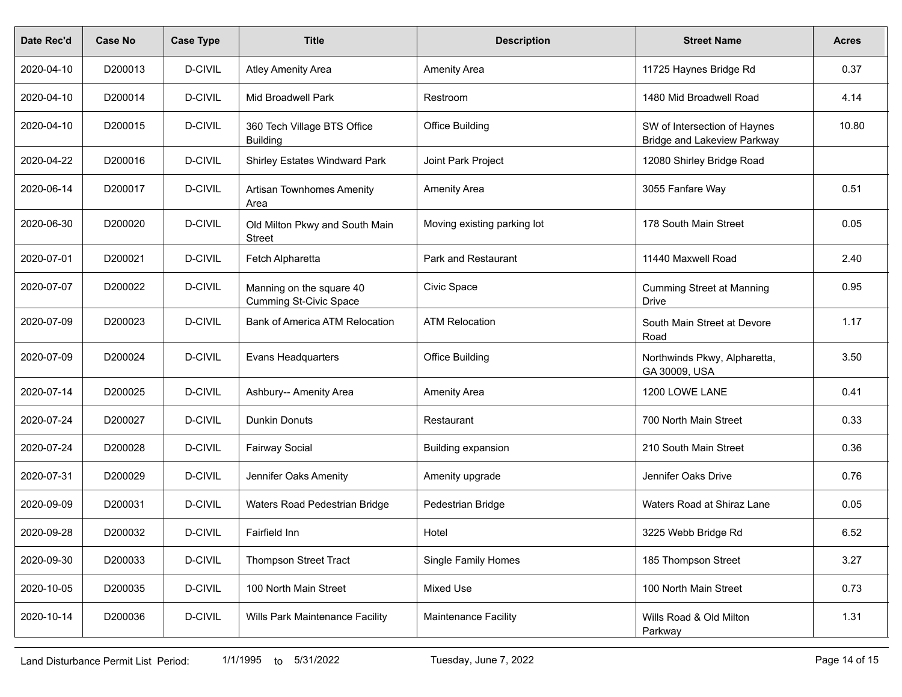| Date Rec'd | <b>Case No</b> | <b>Case Type</b> | <b>Title</b>                                              | <b>Description</b>          | <b>Street Name</b>                                                 | <b>Acres</b> |
|------------|----------------|------------------|-----------------------------------------------------------|-----------------------------|--------------------------------------------------------------------|--------------|
| 2020-04-10 | D200013        | D-CIVIL          | <b>Atley Amenity Area</b>                                 | Amenity Area                | 11725 Haynes Bridge Rd                                             | 0.37         |
| 2020-04-10 | D200014        | D-CIVIL          | Mid Broadwell Park                                        | Restroom                    | 1480 Mid Broadwell Road                                            | 4.14         |
| 2020-04-10 | D200015        | D-CIVIL          | 360 Tech Village BTS Office<br><b>Building</b>            | <b>Office Building</b>      | SW of Intersection of Haynes<br><b>Bridge and Lakeview Parkway</b> | 10.80        |
| 2020-04-22 | D200016        | D-CIVIL          | <b>Shirley Estates Windward Park</b>                      | Joint Park Project          | 12080 Shirley Bridge Road                                          |              |
| 2020-06-14 | D200017        | D-CIVIL          | <b>Artisan Townhomes Amenity</b><br>Area                  | Amenity Area                | 3055 Fanfare Way                                                   | 0.51         |
| 2020-06-30 | D200020        | D-CIVIL          | Old Milton Pkwy and South Main<br><b>Street</b>           | Moving existing parking lot | 178 South Main Street                                              | 0.05         |
| 2020-07-01 | D200021        | D-CIVIL          | Fetch Alpharetta                                          | Park and Restaurant         | 11440 Maxwell Road                                                 | 2.40         |
| 2020-07-07 | D200022        | D-CIVIL          | Manning on the square 40<br><b>Cumming St-Civic Space</b> | Civic Space                 | <b>Cumming Street at Manning</b><br><b>Drive</b>                   | 0.95         |
| 2020-07-09 | D200023        | D-CIVIL          | Bank of America ATM Relocation                            | <b>ATM Relocation</b>       | South Main Street at Devore<br>Road                                | 1.17         |
| 2020-07-09 | D200024        | D-CIVIL          | <b>Evans Headquarters</b>                                 | <b>Office Building</b>      | Northwinds Pkwy, Alpharetta,<br>GA 30009, USA                      | 3.50         |
| 2020-07-14 | D200025        | D-CIVIL          | Ashbury-- Amenity Area                                    | Amenity Area                | 1200 LOWE LANE                                                     | 0.41         |
| 2020-07-24 | D200027        | D-CIVIL          | <b>Dunkin Donuts</b>                                      | Restaurant                  | 700 North Main Street                                              | 0.33         |
| 2020-07-24 | D200028        | D-CIVIL          | <b>Fairway Social</b>                                     | Building expansion          | 210 South Main Street                                              | 0.36         |
| 2020-07-31 | D200029        | D-CIVIL          | Jennifer Oaks Amenity                                     | Amenity upgrade             | Jennifer Oaks Drive                                                | 0.76         |
| 2020-09-09 | D200031        | D-CIVIL          | Waters Road Pedestrian Bridge                             | Pedestrian Bridge           | Waters Road at Shiraz Lane                                         | 0.05         |
| 2020-09-28 | D200032        | D-CIVIL          | Fairfield Inn                                             | Hotel                       | 3225 Webb Bridge Rd                                                | 6.52         |
| 2020-09-30 | D200033        | D-CIVIL          | <b>Thompson Street Tract</b>                              | Single Family Homes         | 185 Thompson Street                                                | 3.27         |
| 2020-10-05 | D200035        | D-CIVIL          | 100 North Main Street                                     | Mixed Use                   | 100 North Main Street                                              | 0.73         |
| 2020-10-14 | D200036        | D-CIVIL          | Wills Park Maintenance Facility                           | Maintenance Facility        | Wills Road & Old Milton<br>Parkway                                 | 1.31         |